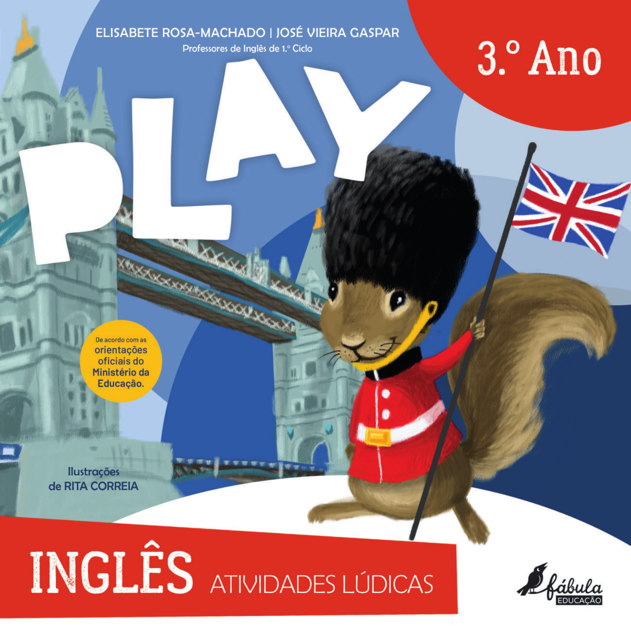#### ELISABETE ROSA-MACHADO | JOSÉ VIEIRA GASPAR

Professores de Inglês de 1.º Ciclo

## 3.º Ano

De acordo com as orientações oficiais do Ministério da Educação.

**Ilustrações** de RITA CORREIA

# INGLÊS ATIVIDADES LÚDICAS

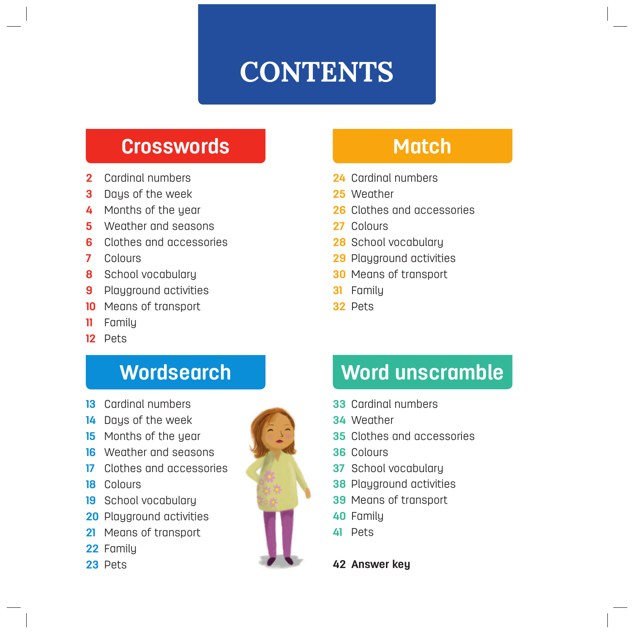## **CONTENTS**

#### **Crosswords**

- Cardinal numbers
- Days of the week
- Months of the year
- Weather and seasons
- Clothes and accessories
- Colours
- School vocabulary
- Playground activities
- Means of transport
- Family
- Pets

## **Wordsearch**

- Cardinal numbers
- Days of the week
- Months of the year
- Weather and seasons
- Clothes and accessories
- Colours
- School vocabulary
- Playground activities
- Means of transport
- Family
- Pets



#### **Match**

- Cardinal numbers
- Weather
- Clothes and accessories
- Colours
- School vocabulary
- Playground activities
- Means of transport
- Family
- Pets

## **Word unscramble**

- Cardinal numbers
- Weather
- Clothes and accessories
- Colours
- School vocabulary
- Playground activities
- Means of transport
- Family
- Pets

**Answer key**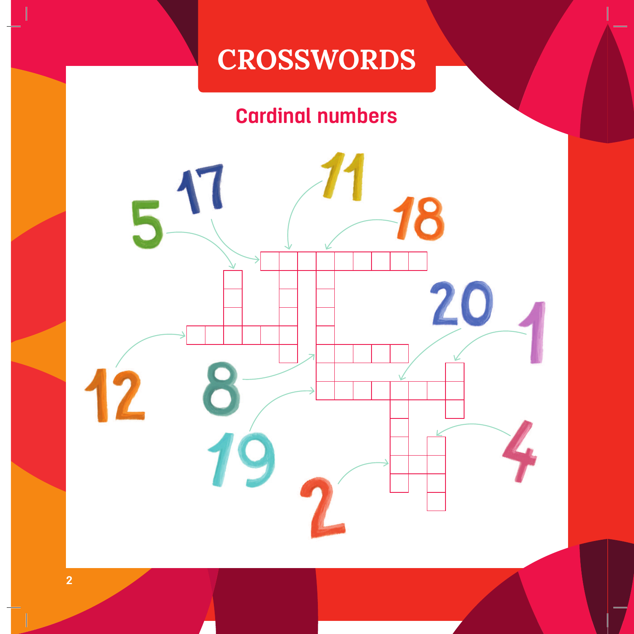## **CROSSWORDS CROSSWORDS**

## **Cardinal numbers**

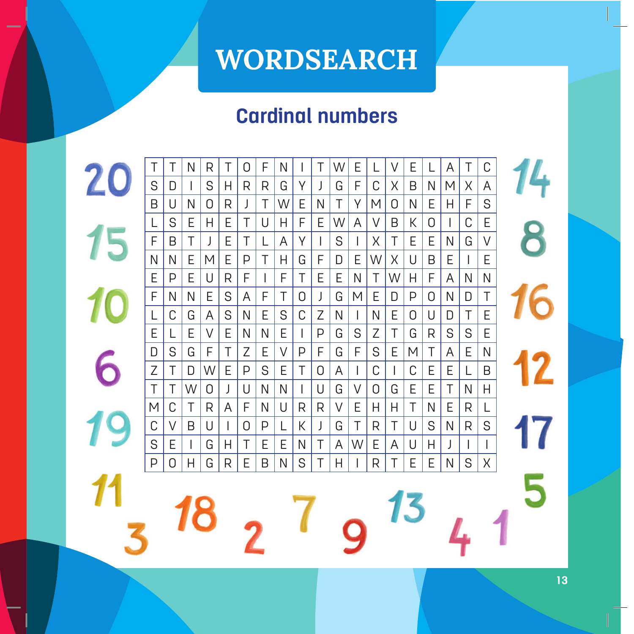## **WORDSEARCH**

## **Cardinal numbers**

20 T | T | N | R | T | O | F | N | I | T |W| E | L | V | E | L | A | T | C 4 S | D | I | S | H | R | R | G | Y | J | G | F | C | X | B | N | M | X | A B | U | N | O | R | J | T |W| E | N | T | Y |M | O | N | E | H | F | S  $15$ 8 L | S | E | H | E | T | U | H | F | E |W | A | V | B | K | O | I | C | E F | B | T | J | E | T | L | A | Y | I | S | I | X | T | E | E | N | G | V N | N | E | M | E | P | T | H | G | F | D | E |W| X | U | B | E | I | E E | P | E | U | R | F | I | F | T | E | E | N | T |W| H | F | A | N | N F | N | N | E | S | A | F | T | O | J | G | M | E | D | P | O | N | D | T L | C | G | A | S | N | E | S | C | Z | N | I | N | E | O | U | D | T | E E | L | E | V | E | N | N | E | I | P | G | S | Z | T | G | R | S | S | E 6 D S G F T Z E V P F G F S E M T A E N Z | T | D |W| E | P | S | E | T | O | A | I | C | I | C | E | E | L | B T | T |W | O | J | U | N | N | I | U | G | V | O | G | E | E | T | N | H M | C | T | R | A | F | N | U | R | R | V | E | H | H | T | N | E | R | L C | V | B | U | I | O | P | L | K | J | G | T | R | T | U | S | N | R | S S | E | I | G | H | T | E | E | N | T | A |W | E | A | U | H | J | I | I P | 0 | H | G | R | E | B | N | S | T | H | I | R | T | E | E | N | S | X 5 13 18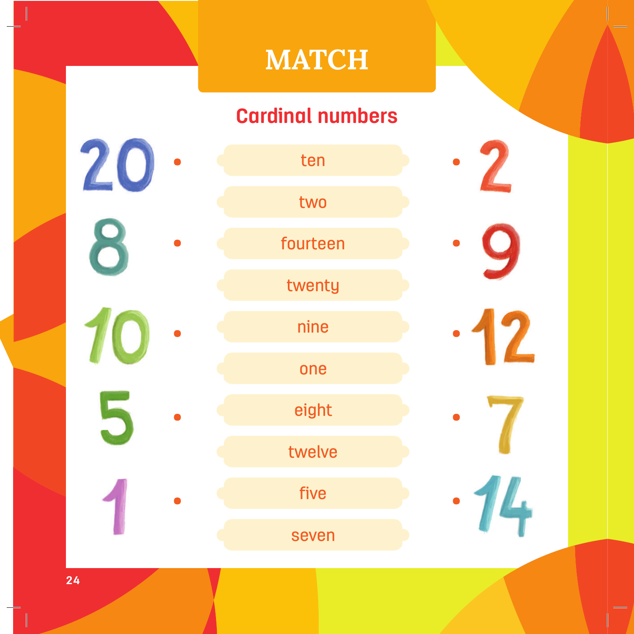## **MATCH MATCH**

## **Cardinal numbers**

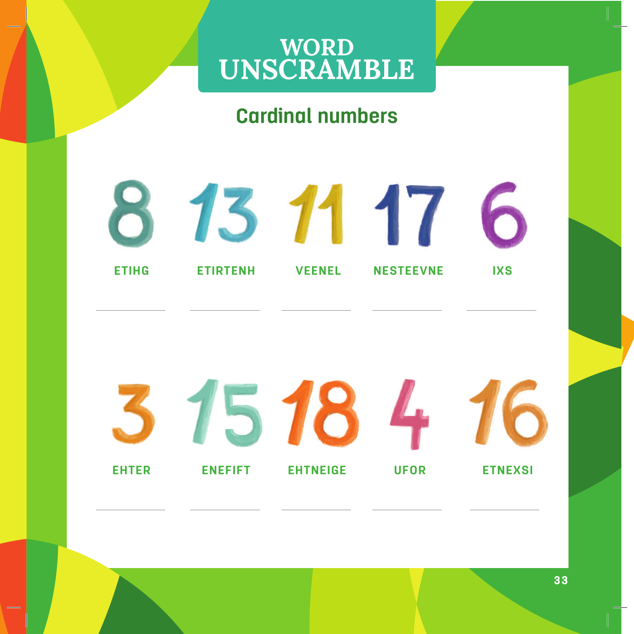# WORD<br>UNSCRAMBLE

#### **Cardinal numbers**